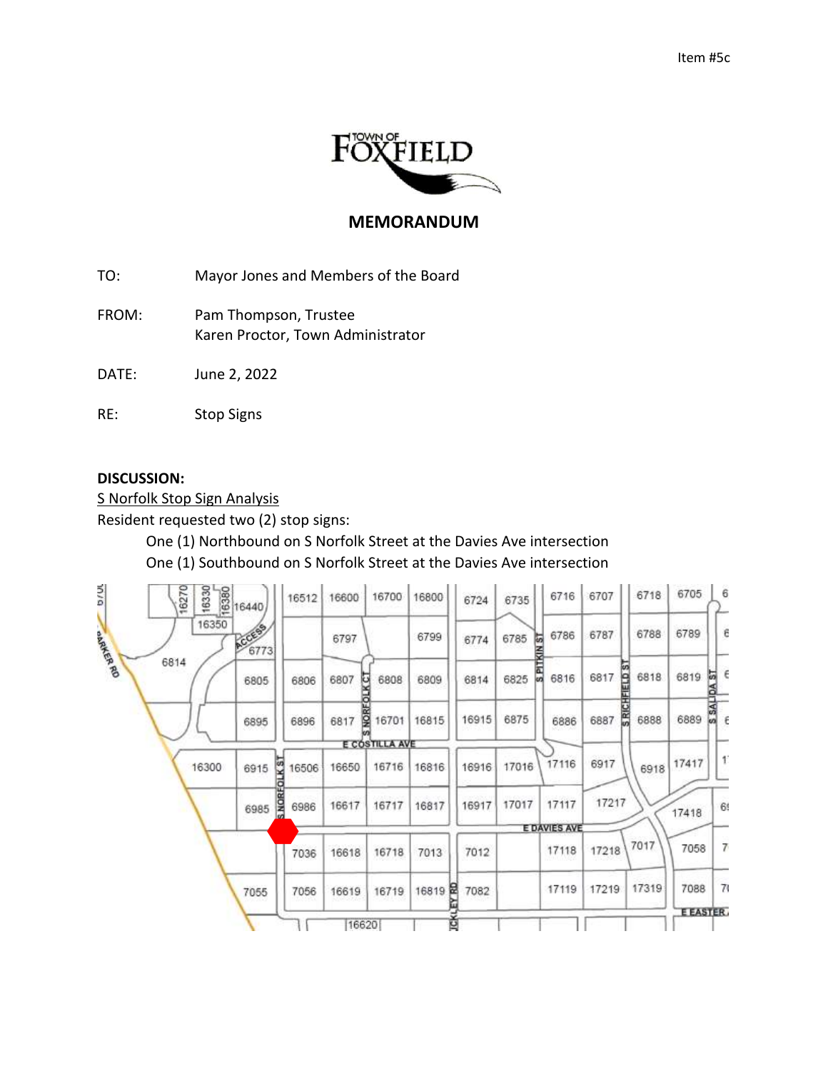

## **MEMORANDUM**

TO: Mayor Jones and Members of the Board

FROM: Pam Thompson, Trustee Karen Proctor, Town Administrator

DATE: June 2, 2022

RE: Stop Signs

## **DISCUSSION:**

S Norfolk Stop Sign Analysis

Resident requested two (2) stop signs:

One (1) Northbound on S Norfolk Street at the Davies Ave intersection One (1) Southbound on S Norfolk Street at the Davies Ave intersection

| <b>D/UL</b> | 16270<br>16330<br>16380 | 16440          | 16512               | 16600 | 16700               | 16800 | 6724        | 6735                  | 6716                | 6707      | 6718                 | 6705            | 6                    |
|-------------|-------------------------|----------------|---------------------|-------|---------------------|-------|-------------|-----------------------|---------------------|-----------|----------------------|-----------------|----------------------|
| oakier RD   | 16350                   | ACCESS<br>6773 |                     | 6797  |                     | 6799  | 6774        | 6785<br><b>TSINST</b> | 6786                | 6787      | 6788                 | 6789            | Ε                    |
|             | 6814                    | 6805           | 6806                | 6807  | <b>KCT</b><br>6808  | 6809  | 6814        | 6825                  | 园<br>6816           | ē<br>6817 | 6818                 | 6819            | E<br>둭               |
|             |                         | 6895           | 6896                | 6817  | <b>NOR</b><br>16701 | 16815 | 16915       | 6875                  | 6886                | 6887      | <b>SRICH</b><br>6888 | 6889            | <b>Adrias S</b><br>Æ |
|             |                         |                |                     |       | E COSTILLA AVE      |       |             |                       |                     |           |                      |                 |                      |
|             | 16300                   | KS<br>6915     | 16506               | 16650 | 16716               | 16816 | 16916       | 17016                 | 17116               | 6917      | 6918                 | 17417           | $\mathbf{f}$         |
|             |                         | 6985           | <b>S NO</b><br>6986 | 16617 | 16717               | 16817 | 16917       | 17017                 | 17117               | 17217     |                      | 17418           | 69                   |
|             |                         |                |                     |       |                     |       |             |                       | <b>E DAVIES AVE</b> |           |                      |                 |                      |
|             |                         |                | 7036                | 16618 | 16718               | 7013  | 7012        |                       | 17118               | 17218     | 7017                 | 7058            | 7                    |
|             |                         | 7055           | 7056                | 16619 | 16719               | 16819 | Ħ<br>7082   |                       | 17119               | 17219     | 17319                | 7088            | 71                   |
|             |                         |                |                     |       |                     |       |             |                       |                     |           |                      | <b>E EASTER</b> |                      |
|             |                         |                |                     | 16620 |                     |       | <b>TEKL</b> |                       |                     |           |                      |                 |                      |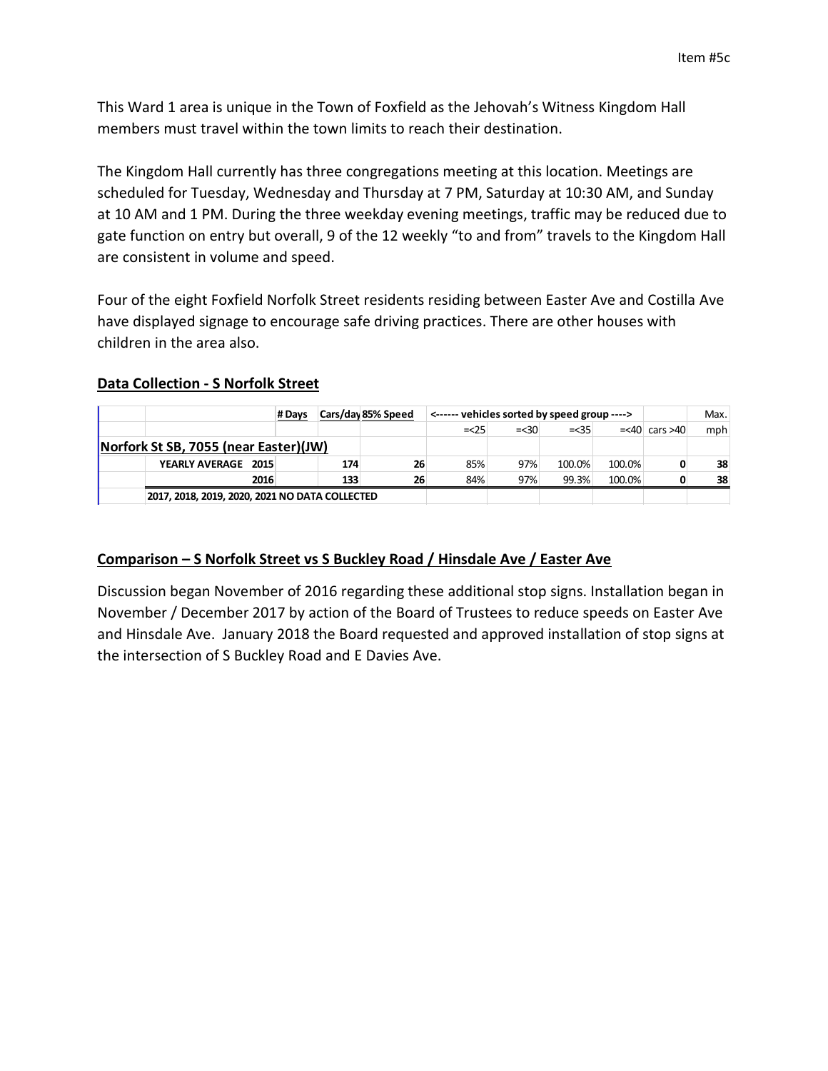This Ward 1 area is unique in the Town of Foxfield as the Jehovah's Witness Kingdom Hall members must travel within the town limits to reach their destination.

The Kingdom Hall currently has three congregations meeting at this location. Meetings are scheduled for Tuesday, Wednesday and Thursday at 7 PM, Saturday at 10:30 AM, and Sunday at 10 AM and 1 PM. During the three weekday evening meetings, traffic may be reduced due to gate function on entry but overall, 9 of the 12 weekly "to and from" travels to the Kingdom Hall are consistent in volume and speed.

Four of the eight Foxfield Norfolk Street residents residing between Easter Ave and Costilla Ave have displayed signage to encourage safe driving practices. There are other houses with children in the area also.

## **Data Collection - S Norfolk Street**

|                                                |                                       | # Days |     | Cars/day 85% Speed | <------ vehicles sorted by speed group ----> |         | Max.   |        |                     |     |
|------------------------------------------------|---------------------------------------|--------|-----|--------------------|----------------------------------------------|---------|--------|--------|---------------------|-----|
|                                                |                                       |        |     |                    | $=<25$                                       | $=< 30$ | $=<35$ |        | $=<$ 40 cars $>$ 40 | mph |
|                                                | Norfork St SB, 7055 (near Easter)(JW) |        |     |                    |                                              |         |        |        |                     |     |
|                                                | YEARLY AVERAGE 2015                   |        | 174 | 26                 | 85%                                          | 97%     | 100.0% | 100.0% |                     | 38  |
|                                                | 2016                                  |        | 133 | 26                 | 84%                                          | 97%     | 99.3%  | 100.0% |                     | 38  |
| 2017, 2018, 2019, 2020, 2021 NO DATA COLLECTED |                                       |        |     |                    |                                              |         |        |        |                     |     |

## **Comparison – S Norfolk Street vs S Buckley Road / Hinsdale Ave / Easter Ave**

Discussion began November of 2016 regarding these additional stop signs. Installation began in November / December 2017 by action of the Board of Trustees to reduce speeds on Easter Ave and Hinsdale Ave. January 2018 the Board requested and approved installation of stop signs at the intersection of S Buckley Road and E Davies Ave.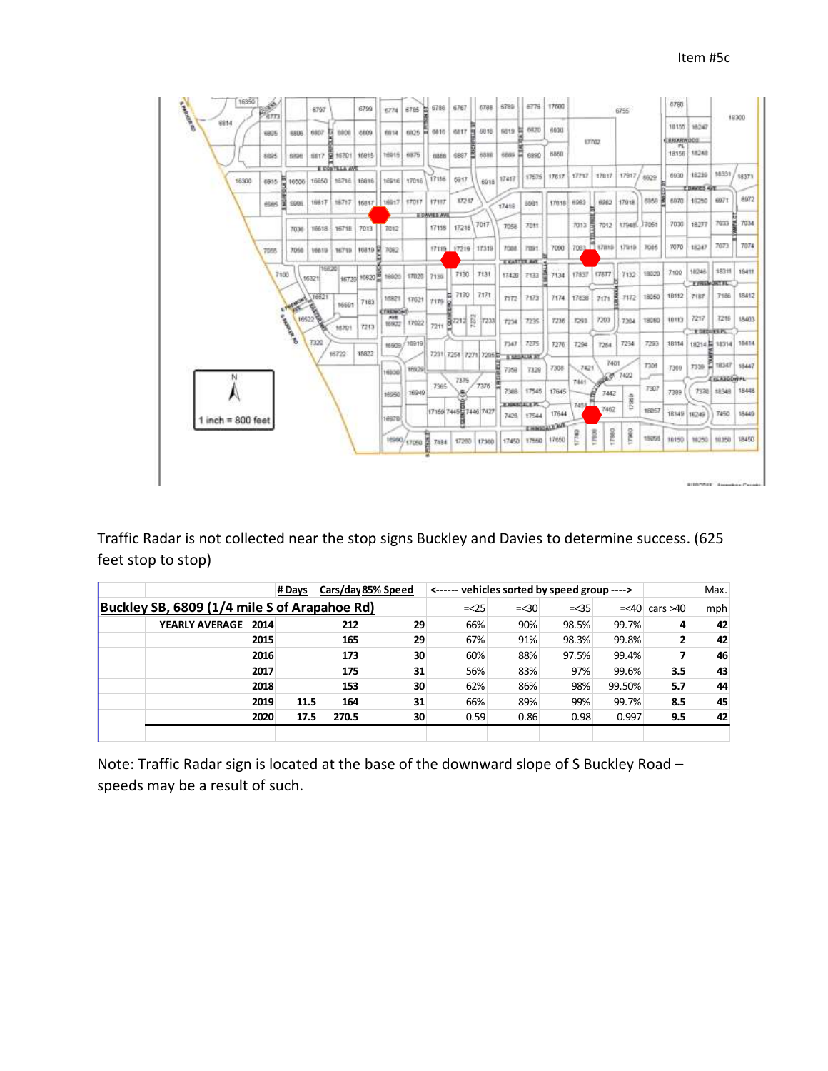

Traffic Radar is not collected near the stop signs Buckley and Davies to determine success. (625 feet stop to stop)

|                                              |                     | # Days |       | Cars/day 85% Speed | <------ vehicles sorted by speed group ----> |         |        |        |                     | Max. |
|----------------------------------------------|---------------------|--------|-------|--------------------|----------------------------------------------|---------|--------|--------|---------------------|------|
| Buckley SB, 6809 (1/4 mile S of Arapahoe Rd) |                     |        |       |                    |                                              | $=< 30$ | $=<35$ |        | $= < 40$ cars $>40$ | mph  |
|                                              | YEARLY AVERAGE 2014 |        | 212   | 29                 | 66%                                          | 90%     | 98.5%  | 99.7%  |                     | 42   |
|                                              | 2015                |        | 165   | 29                 | 67%                                          | 91%     | 98.3%  | 99.8%  |                     | 42   |
|                                              | 2016                |        | 173   | 30                 | 60%                                          | 88%     | 97.5%  | 99.4%  |                     | 46   |
|                                              | 2017                |        | 175   | 31                 | 56%                                          | 83%     | 97%    | 99.6%  | 3.5                 | 43   |
|                                              | 2018                |        | 153   | 30                 | 62%                                          | 86%     | 98%    | 99.50% | 5.7                 | 44   |
|                                              | 2019                | 11.5   | 164   | 31                 | 66%                                          | 89%     | 99%    | 99.7%  | 8.5                 | 45   |
|                                              | 2020                | 17.5   | 270.5 | 30                 | 0.59                                         | 0.86    | 0.98   | 0.997  | 9.5                 | 42   |
|                                              |                     |        |       |                    |                                              |         |        |        |                     |      |

Note: Traffic Radar sign is located at the base of the downward slope of S Buckley Road – speeds may be a result of such.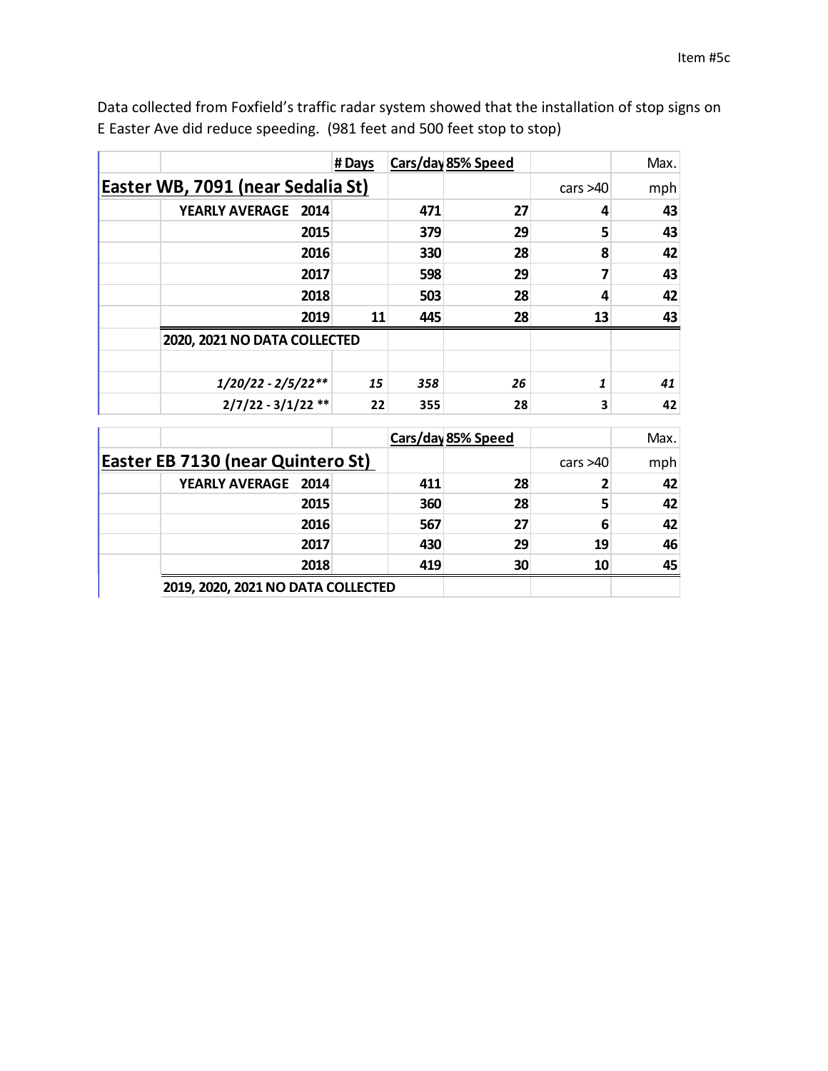|                                          | #Days |     | Cars/day 85% Speed |            | Max. |
|------------------------------------------|-------|-----|--------------------|------------|------|
| <b>Easter WB, 7091 (near Sedalia St)</b> |       |     |                    | cars $>40$ | mph  |
| <b>YEARLY AVERAGE</b><br>2014            |       | 471 | 27                 | 4          | 43   |
| 2015                                     |       | 379 | 29                 | 5          | 43   |
| 2016                                     |       | 330 | 28                 | 8          | 42   |
| 2017                                     |       | 598 | 29                 | 7          | 43   |
| 2018                                     |       | 503 | 28                 | 4          | 42   |
| 2019                                     | 11    | 445 | 28                 | 13         | 43   |
| 2020, 2021 NO DATA COLLECTED             |       |     |                    |            |      |
|                                          |       |     |                    |            |      |
| $1/20/22 - 2/5/22**$                     | 15    | 358 | 26                 | 1          | 41   |
| $2/7/22 - 3/1/22$ **                     | 22    | 355 | 28                 | 3          | 42   |

Data collected from Foxfield's traffic radar system showed that the installation of stop signs on E Easter Ave did reduce speeding. (981 feet and 500 feet stop to stop)

|                                          |      |     | Cars/day 85% Speed |            | Max. |
|------------------------------------------|------|-----|--------------------|------------|------|
| <b>Easter EB 7130 (near Quintero St)</b> |      |     |                    | cars $>40$ | mph  |
| YEARLY AVERAGE 2014                      |      | 411 | 28                 |            | 42   |
|                                          | 2015 | 360 | 28                 |            | 42   |
|                                          | 2016 | 567 | 27                 | 6          | 42   |
|                                          | 2017 | 430 | 29                 | 19         | 46   |
|                                          | 2018 | 419 | 30                 | 10         | 45   |
| 2019, 2020, 2021 NO DATA COLLECTED       |      |     |                    |            |      |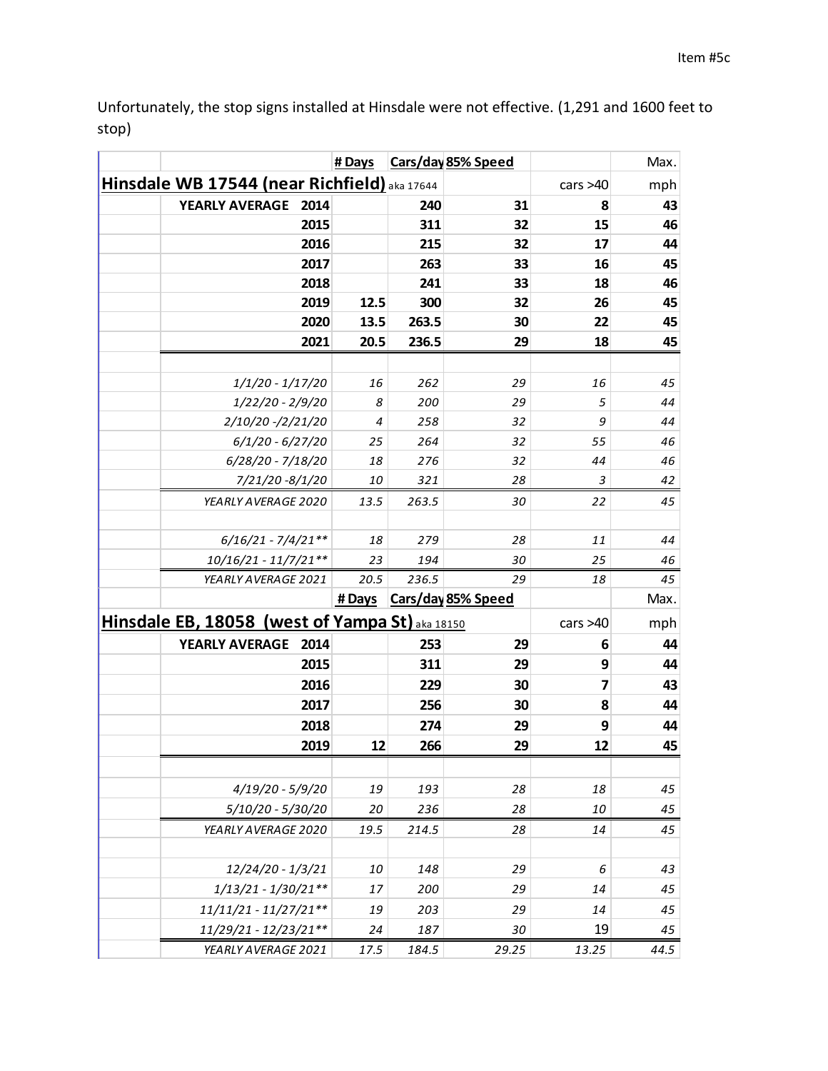Unfortunately, the stop signs installed at Hinsdale were not effective. (1,291 and 1600 feet to stop)

|                                                 | # Days |       | Cars/day 85% Speed        |            | Max. |
|-------------------------------------------------|--------|-------|---------------------------|------------|------|
| Hinsdale WB 17544 (near Richfield) aka 17644    |        |       |                           | cars $>40$ | mph  |
| <b>YEARLY AVERAGE</b><br>2014                   |        | 240   | 31                        | 8          | 43   |
| 2015                                            |        | 311   | 32                        | 15         | 46   |
| 2016                                            |        | 215   | 32                        | 17         | 44   |
| 2017                                            |        | 263   | 33                        | 16         | 45   |
| 2018                                            |        | 241   | 33                        | 18         | 46   |
| 2019                                            | 12.5   | 300   | 32                        | 26         | 45   |
| 2020                                            | 13.5   | 263.5 | 30                        | 22         | 45   |
| 2021                                            | 20.5   | 236.5 | 29                        | 18         | 45   |
|                                                 |        |       |                           |            |      |
| $1/1/20 - 1/17/20$                              | 16     | 262   | 29                        | 16         | 45   |
| 1/22/20 - 2/9/20                                | 8      | 200   | 29                        | 5          | 44   |
| 2/10/20 -/2/21/20                               | 4      | 258   | 32                        | 9          | 44   |
| $6/1/20 - 6/27/20$                              | 25     | 264   | 32                        | 55         | 46   |
| 6/28/20 - 7/18/20                               | 18     | 276   | 32                        | 44         | 46   |
| 7/21/20 -8/1/20                                 | 10     | 321   | 28                        | 3          | 42   |
| YEARLY AVERAGE 2020                             | 13.5   | 263.5 | 30                        | 22         | 45   |
|                                                 |        |       |                           |            |      |
| $6/16/21 - 7/4/21**$                            | 18     | 279   | 28                        | 11         | 44   |
| 10/16/21 - 11/7/21**                            | 23     | 194   | 30                        | 25         | 46   |
| YEARLY AVERAGE 2021                             | 20.5   | 236.5 | 29                        | 18         | 45   |
|                                                 | # Days |       | <b>Cars/day 85% Speed</b> |            | Max. |
| Hinsdale EB, 18058 (west of Yampa St) aka 18150 |        |       |                           | cars $>40$ | mph  |
| <b>YEARLY AVERAGE</b><br>2014                   |        | 253   | 29                        | 6          | 44   |
| 2015                                            |        | 311   | 29                        | 9          | 44   |
| 2016                                            |        | 229   | 30                        | 7          | 43   |
| 2017                                            |        | 256   | 30                        | 8          | 44   |
| 2018                                            |        | 274   | 29                        | 9          | 44   |
| 2019                                            | 12     | 266   | 29                        | 12         | 45   |
|                                                 |        |       |                           |            |      |
| $4/19/20 - 5/9/20$                              | 19     | 193   | 28                        | 18         | 45   |
| 5/10/20 - 5/30/20                               | 20     | 236   | 28                        | 10         | 45   |
| YEARLY AVERAGE 2020                             | 19.5   | 214.5 | 28                        | 14         | 45   |
| 12/24/20 - 1/3/21                               | 10     | 148   | 29                        | 6          | 43   |
| $1/13/21 - 1/30/21**$                           | 17     | 200   | 29                        | 14         | 45   |
| $11/11/21 - 11/27/21**$                         | 19     | 203   | 29                        | 14         | 45   |
| 11/29/21 - 12/23/21**                           | 24     | 187   | 30                        | 19         | 45   |
| YEARLY AVERAGE 2021                             | 17.5   | 184.5 | 29.25                     | 13.25      | 44.5 |